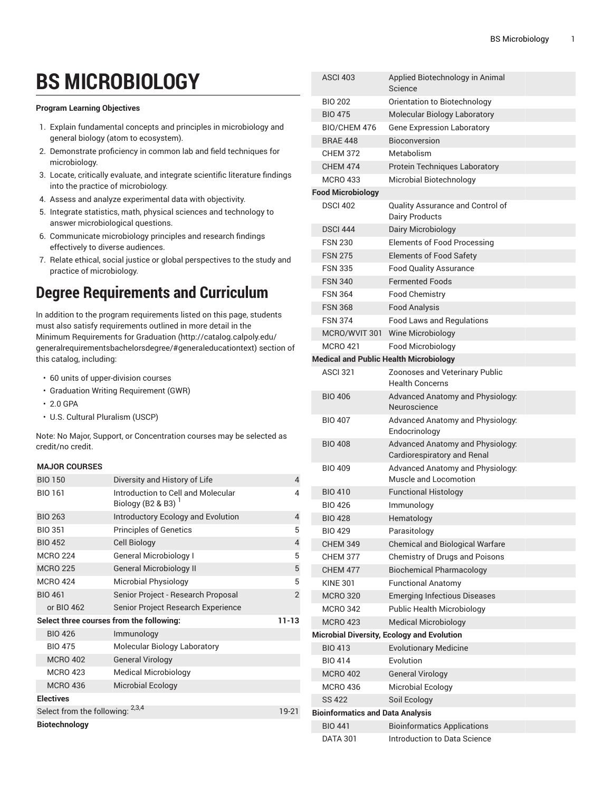## **BS MICROBIOLOGY**

## **Program Learning Objectives**

- 1. Explain fundamental concepts and principles in microbiology and general biology (atom to ecosystem).
- 2. Demonstrate proficiency in common lab and field techniques for microbiology.
- 3. Locate, critically evaluate, and integrate scientific literature findings into the practice of microbiology.
- 4. Assess and analyze experimental data with objectivity.
- 5. Integrate statistics, math, physical sciences and technology to answer microbiological questions.
- 6. Communicate microbiology principles and research findings effectively to diverse audiences.
- 7. Relate ethical, social justice or global perspectives to the study and practice of microbiology.

## **Degree Requirements and Curriculum**

In addition to the program requirements listed on this page, students must also satisfy requirements outlined in more detail in the Minimum [Requirements](http://catalog.calpoly.edu/generalrequirementsbachelorsdegree/#generaleducationtext) for Graduation ([http://catalog.calpoly.edu/](http://catalog.calpoly.edu/generalrequirementsbachelorsdegree/#generaleducationtext) [generalrequirementsbachelorsdegree/#generaleducationtext\)](http://catalog.calpoly.edu/generalrequirementsbachelorsdegree/#generaleducationtext) section of this catalog, including:

- 60 units of upper-division courses
- Graduation Writing Requirement (GWR)
- 2.0 GPA
- U.S. Cultural Pluralism (USCP)

Note: No Major, Support, or Concentration courses may be selected as credit/no credit.

## **MAJOR COURSES**

| <b>BIO 150</b>                           | Diversity and History of Life                               | 4              |
|------------------------------------------|-------------------------------------------------------------|----------------|
| <b>BIO 161</b>                           | Introduction to Cell and Molecular<br>Biology (B2 & B3) $1$ | 4              |
| <b>BIO 263</b>                           | Introductory Ecology and Evolution                          | 4              |
| <b>BIO 351</b>                           | <b>Principles of Genetics</b>                               | 5              |
| <b>BIO 452</b>                           | <b>Cell Biology</b>                                         | 4              |
| <b>MCRO 224</b>                          | <b>General Microbiology I</b>                               | 5              |
| <b>MCRO 225</b>                          | <b>General Microbiology II</b>                              | 5              |
| <b>MCRO 424</b>                          | Microbial Physiology                                        | 5              |
| <b>BIO 461</b>                           | Senior Project - Research Proposal                          | $\overline{2}$ |
| or BIO 462                               | Senior Project Research Experience                          |                |
| Select three courses from the following: | $11 - 13$                                                   |                |
| <b>BIO 426</b>                           | Immunology                                                  |                |
| <b>BIO 475</b>                           | Molecular Biology Laboratory                                |                |
| <b>MCRO 402</b>                          | <b>General Virology</b>                                     |                |
| <b>MCRO 423</b>                          | <b>Medical Microbiology</b>                                 |                |
| <b>MCRO 436</b>                          | Microbial Ecology                                           |                |
| <b>Electives</b>                         |                                                             |                |
| Select from the following: 2,3,4         | 19-21                                                       |                |
| Biotechnology                            |                                                             |                |

| <b>ASCI 403</b>                         | Applied Biotechnology in Animal<br>Science                             |  |  |  |  |  |
|-----------------------------------------|------------------------------------------------------------------------|--|--|--|--|--|
| <b>BIO 202</b>                          | Orientation to Biotechnology                                           |  |  |  |  |  |
| <b>BIO 475</b>                          | Molecular Biology Laboratory                                           |  |  |  |  |  |
| BIO/CHEM 476                            | <b>Gene Expression Laboratory</b>                                      |  |  |  |  |  |
| <b>BRAF 448</b>                         | <b>Bioconversion</b>                                                   |  |  |  |  |  |
| <b>CHEM 372</b>                         | Metabolism                                                             |  |  |  |  |  |
| <b>CHEM 474</b>                         | Protein Techniques Laboratory                                          |  |  |  |  |  |
| <b>MCRO 433</b>                         | Microbial Biotechnology                                                |  |  |  |  |  |
| <b>Food Microbiology</b>                |                                                                        |  |  |  |  |  |
| <b>DSCI 402</b>                         | Quality Assurance and Control of<br><b>Dairy Products</b>              |  |  |  |  |  |
| <b>DSCI 444</b>                         | Dairy Microbiology                                                     |  |  |  |  |  |
| <b>FSN 230</b>                          | <b>Elements of Food Processing</b>                                     |  |  |  |  |  |
| <b>FSN 275</b>                          | <b>Elements of Food Safety</b>                                         |  |  |  |  |  |
| <b>FSN 335</b>                          | <b>Food Quality Assurance</b>                                          |  |  |  |  |  |
| <b>FSN 340</b>                          | <b>Fermented Foods</b>                                                 |  |  |  |  |  |
| <b>FSN 364</b>                          | <b>Food Chemistry</b>                                                  |  |  |  |  |  |
| <b>FSN 368</b>                          | <b>Food Analysis</b>                                                   |  |  |  |  |  |
| <b>FSN 374</b>                          | <b>Food Laws and Regulations</b>                                       |  |  |  |  |  |
| MCRO/WVIT 301                           | Wine Microbiology                                                      |  |  |  |  |  |
| <b>MCRO 421</b>                         | Food Microbiology                                                      |  |  |  |  |  |
|                                         | <b>Medical and Public Health Microbiology</b>                          |  |  |  |  |  |
| <b>ASCI 321</b>                         | Zoonoses and Veterinary Public<br><b>Health Concerns</b>               |  |  |  |  |  |
| <b>BIO 406</b>                          | Advanced Anatomy and Physiology:<br>Neuroscience                       |  |  |  |  |  |
| <b>BIO 407</b>                          | Advanced Anatomy and Physiology:<br>Endocrinology                      |  |  |  |  |  |
| <b>BIO 408</b>                          | Advanced Anatomy and Physiology:<br><b>Cardiorespiratory and Renal</b> |  |  |  |  |  |
| <b>BIO 409</b>                          | Advanced Anatomy and Physiology:<br>Muscle and Locomotion              |  |  |  |  |  |
| <b>BIO 410</b>                          | <b>Functional Histology</b>                                            |  |  |  |  |  |
| <b>BIO 426</b>                          | Immunology                                                             |  |  |  |  |  |
| <b>BIO 428</b>                          | Hematology                                                             |  |  |  |  |  |
| <b>BIO 429</b>                          | Parasitology                                                           |  |  |  |  |  |
| <b>CHEM 349</b>                         | <b>Chemical and Biological Warfare</b>                                 |  |  |  |  |  |
| <b>CHEM 377</b>                         | Chemistry of Drugs and Poisons                                         |  |  |  |  |  |
| <b>CHEM 477</b>                         | <b>Biochemical Pharmacology</b>                                        |  |  |  |  |  |
| <b>KINE 301</b>                         | <b>Functional Anatomy</b>                                              |  |  |  |  |  |
| <b>MCRO 320</b>                         | <b>Emerging Infectious Diseases</b>                                    |  |  |  |  |  |
| <b>MCRO 342</b>                         | Public Health Microbiology                                             |  |  |  |  |  |
| <b>MCRO 423</b>                         | <b>Medical Microbiology</b>                                            |  |  |  |  |  |
|                                         | <b>Microbial Diversity, Ecology and Evolution</b>                      |  |  |  |  |  |
| <b>BIO 413</b>                          | <b>Evolutionary Medicine</b>                                           |  |  |  |  |  |
| <b>BIO 414</b>                          | Evolution                                                              |  |  |  |  |  |
| <b>MCRO 402</b>                         | <b>General Virology</b>                                                |  |  |  |  |  |
| <b>MCRO 436</b>                         | Microbial Ecology                                                      |  |  |  |  |  |
| <b>SS 422</b>                           | Soil Ecology                                                           |  |  |  |  |  |
| <b>Bioinformatics and Data Analysis</b> |                                                                        |  |  |  |  |  |
| <b>BIO 441</b>                          | <b>Bioinformatics Applications</b>                                     |  |  |  |  |  |
| <b>DATA 301</b>                         | Introduction to Data Science                                           |  |  |  |  |  |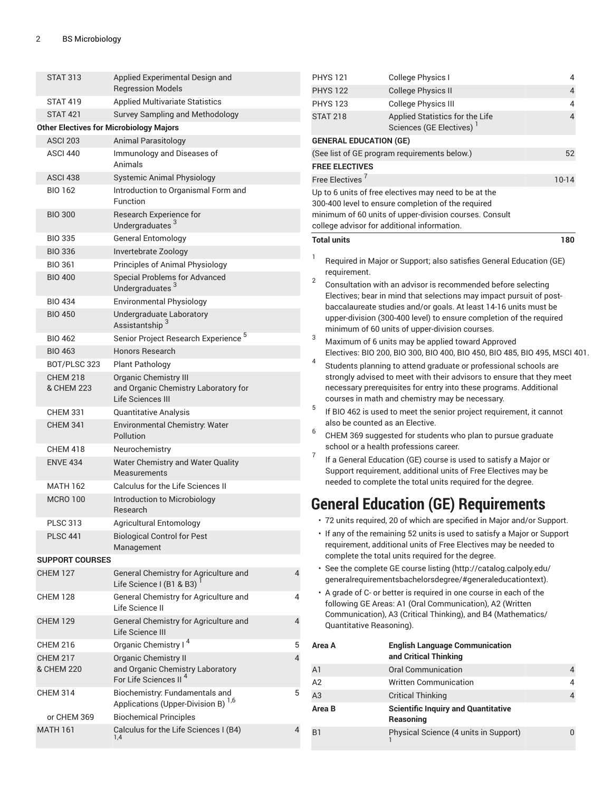| <b>STAT 313</b>                                                          | Applied Experimental Design and                                                           |                                                                                                                                              | <b>PHYS 121</b>                                                                                                                                                                                                            | College Physics I                                                                                                                                                                             | 4       |  |
|--------------------------------------------------------------------------|-------------------------------------------------------------------------------------------|----------------------------------------------------------------------------------------------------------------------------------------------|----------------------------------------------------------------------------------------------------------------------------------------------------------------------------------------------------------------------------|-----------------------------------------------------------------------------------------------------------------------------------------------------------------------------------------------|---------|--|
|                                                                          | <b>Regression Models</b>                                                                  |                                                                                                                                              | <b>PHYS 122</b>                                                                                                                                                                                                            | <b>College Physics II</b>                                                                                                                                                                     | 4       |  |
| <b>STAT 419</b>                                                          | <b>Applied Multivariate Statistics</b>                                                    |                                                                                                                                              | <b>PHYS 123</b>                                                                                                                                                                                                            | <b>College Physics III</b>                                                                                                                                                                    | 4       |  |
| <b>STAT 421</b>                                                          | Survey Sampling and Methodology                                                           |                                                                                                                                              | <b>STAT 218</b>                                                                                                                                                                                                            | Applied Statistics for the Life                                                                                                                                                               |         |  |
|                                                                          | <b>Other Electives for Microbiology Majors</b>                                            |                                                                                                                                              |                                                                                                                                                                                                                            | Sciences (GE Electives) <sup>1</sup>                                                                                                                                                          |         |  |
| <b>ASCI 203</b>                                                          | <b>Animal Parasitology</b>                                                                |                                                                                                                                              | <b>GENERAL EDUCATION (GE)</b>                                                                                                                                                                                              |                                                                                                                                                                                               |         |  |
| ASCI 440                                                                 | Immunology and Diseases of<br>Animals                                                     |                                                                                                                                              | (See list of GE program requirements below.)<br>52                                                                                                                                                                         |                                                                                                                                                                                               |         |  |
| <b>ASCI 438</b>                                                          | <b>Systemic Animal Physiology</b>                                                         |                                                                                                                                              | <b>FREE ELECTIVES</b><br>Free Electives <sup>7</sup>                                                                                                                                                                       |                                                                                                                                                                                               |         |  |
| <b>BIO 162</b>                                                           | Introduction to Organismal Form and                                                       |                                                                                                                                              |                                                                                                                                                                                                                            |                                                                                                                                                                                               | $10-14$ |  |
|                                                                          | <b>Function</b>                                                                           |                                                                                                                                              | Up to 6 units of free electives may need to be at the<br>300-400 level to ensure completion of the required                                                                                                                |                                                                                                                                                                                               |         |  |
| Research Experience for<br><b>BIO 300</b><br>Undergraduates <sup>3</sup> |                                                                                           | minimum of 60 units of upper-division courses. Consult<br>college advisor for additional information.                                        |                                                                                                                                                                                                                            |                                                                                                                                                                                               |         |  |
| <b>BIO 335</b>                                                           | <b>General Entomology</b>                                                                 |                                                                                                                                              | <b>Total units</b>                                                                                                                                                                                                         |                                                                                                                                                                                               | 180     |  |
| <b>BIO 336</b>                                                           | Invertebrate Zoology                                                                      |                                                                                                                                              |                                                                                                                                                                                                                            |                                                                                                                                                                                               |         |  |
| <b>BIO 361</b>                                                           | Principles of Animal Physiology                                                           |                                                                                                                                              | Required in Major or Support; also satisfies General Education (GE)<br>requirement.                                                                                                                                        |                                                                                                                                                                                               |         |  |
| <b>BIO 400</b>                                                           | <b>Special Problems for Advanced</b><br>Undergraduates <sup>3</sup>                       |                                                                                                                                              | $\overline{2}$                                                                                                                                                                                                             | Consultation with an advisor is recommended before selecting                                                                                                                                  |         |  |
| <b>BIO 434</b>                                                           | <b>Environmental Physiology</b>                                                           |                                                                                                                                              |                                                                                                                                                                                                                            | Electives; bear in mind that selections may impact pursuit of post-                                                                                                                           |         |  |
| <b>BIO 450</b>                                                           | Undergraduate Laboratory<br>Assistantship <sup>3</sup>                                    |                                                                                                                                              | baccalaureate studies and/or goals. At least 14-16 units must be<br>upper-division (300-400 level) to ensure completion of the required                                                                                    |                                                                                                                                                                                               |         |  |
| <b>BIO 462</b>                                                           | Senior Project Research Experience <sup>5</sup>                                           |                                                                                                                                              | 3                                                                                                                                                                                                                          | minimum of 60 units of upper-division courses.<br>Maximum of 6 units may be applied toward Approved                                                                                           |         |  |
| <b>BIO 463</b>                                                           | Honors Research                                                                           |                                                                                                                                              |                                                                                                                                                                                                                            | Electives: BIO 200, BIO 300, BIO 400, BIO 450, BIO 485, BIO 495, MSCI 401.                                                                                                                    |         |  |
| BOT/PLSC 323                                                             | <b>Plant Pathology</b>                                                                    |                                                                                                                                              | 4                                                                                                                                                                                                                          | Students planning to attend graduate or professional schools are                                                                                                                              |         |  |
| <b>CHEM 218</b><br>& CHEM 223                                            | <b>Organic Chemistry III</b><br>and Organic Chemistry Laboratory for<br>Life Sciences III |                                                                                                                                              |                                                                                                                                                                                                                            | strongly advised to meet with their advisors to ensure that they meet<br>necessary prerequisites for entry into these programs. Additional<br>courses in math and chemistry may be necessary. |         |  |
| <b>CHEM 331</b>                                                          | Quantitative Analysis                                                                     |                                                                                                                                              | 5                                                                                                                                                                                                                          | If BIO 462 is used to meet the senior project requirement, it cannot                                                                                                                          |         |  |
| <b>CHEM 341</b>                                                          | Environmental Chemistry: Water<br><b>Pollution</b>                                        |                                                                                                                                              | 6                                                                                                                                                                                                                          | also be counted as an Elective.<br>CHEM 369 suggested for students who plan to pursue graduate                                                                                                |         |  |
| <b>CHEM 418</b>                                                          | Neurochemistry                                                                            |                                                                                                                                              |                                                                                                                                                                                                                            | school or a health professions career.                                                                                                                                                        |         |  |
| <b>ENVE 434</b>                                                          | Water Chemistry and Water Quality                                                         |                                                                                                                                              | $\overline{7}$                                                                                                                                                                                                             | If a General Education (GE) course is used to satisfy a Major or                                                                                                                              |         |  |
|                                                                          | Measurements                                                                              |                                                                                                                                              |                                                                                                                                                                                                                            | Support requirement, additional units of Free Electives may be<br>needed to complete the total units required for the degree.                                                                 |         |  |
| <b>MATH 162</b>                                                          | Calculus for the Life Sciences II                                                         |                                                                                                                                              |                                                                                                                                                                                                                            |                                                                                                                                                                                               |         |  |
| <b>MCRO 100</b>                                                          | Introduction to Microbiology<br>Research                                                  |                                                                                                                                              |                                                                                                                                                                                                                            | <b>General Education (GE) Requirements</b>                                                                                                                                                    |         |  |
| <b>PLSC 313</b>                                                          | <b>Agricultural Entomology</b>                                                            |                                                                                                                                              |                                                                                                                                                                                                                            | · 72 units required, 20 of which are specified in Major and/or Support.                                                                                                                       |         |  |
| <b>Biological Control for Pest</b><br><b>PLSC 441</b><br>Management      |                                                                                           | • If any of the remaining 52 units is used to satisfy a Major or Support<br>requirement, additional units of Free Electives may be needed to |                                                                                                                                                                                                                            |                                                                                                                                                                                               |         |  |
| <b>SUPPORT COURSES</b>                                                   |                                                                                           |                                                                                                                                              |                                                                                                                                                                                                                            | complete the total units required for the degree.                                                                                                                                             |         |  |
| <b>CHEM 127</b>                                                          | General Chemistry for Agriculture and<br>Life Science I (B1 & B3)                         | 4                                                                                                                                            |                                                                                                                                                                                                                            | · See the complete GE course listing (http://catalog.calpoly.edu/<br>generalrequirementsbachelorsdegree/#generaleducationtext).                                                               |         |  |
| <b>CHEM 128</b>                                                          | General Chemistry for Agriculture and<br>Life Science II                                  | 4                                                                                                                                            | • A grade of C- or better is required in one course in each of the<br>following GE Areas: A1 (Oral Communication), A2 (Written<br>Communication), A3 (Critical Thinking), and B4 (Mathematics/<br>Quantitative Reasoning). |                                                                                                                                                                                               |         |  |
| <b>CHEM 129</b>                                                          | General Chemistry for Agriculture and<br>Life Science III                                 | 4                                                                                                                                            |                                                                                                                                                                                                                            |                                                                                                                                                                                               |         |  |
| <b>CHEM 216</b>                                                          | Organic Chemistry I <sup>4</sup>                                                          | $\mathbf 5$                                                                                                                                  | Area A                                                                                                                                                                                                                     | <b>English Language Communication</b>                                                                                                                                                         |         |  |
| <b>CHEM 217</b>                                                          | <b>Organic Chemistry II</b>                                                               | 4                                                                                                                                            |                                                                                                                                                                                                                            | and Critical Thinking                                                                                                                                                                         |         |  |
| & CHEM 220                                                               | and Organic Chemistry Laboratory                                                          |                                                                                                                                              | A1                                                                                                                                                                                                                         | <b>Oral Communication</b>                                                                                                                                                                     | 4       |  |
|                                                                          | For Life Sciences II <sup>4</sup>                                                         |                                                                                                                                              | A2                                                                                                                                                                                                                         | <b>Written Communication</b>                                                                                                                                                                  | 4       |  |
| <b>CHEM 314</b>                                                          | Biochemistry: Fundamentals and<br>5                                                       |                                                                                                                                              | A3                                                                                                                                                                                                                         | <b>Critical Thinking</b>                                                                                                                                                                      | 4       |  |
| Applications (Upper-Division B) <sup>1,6</sup>                           |                                                                                           |                                                                                                                                              | Area B                                                                                                                                                                                                                     | <b>Scientific Inquiry and Quantitative</b>                                                                                                                                                    |         |  |
| or CHEM 369<br><b>MATH 161</b>                                           | <b>Biochemical Principles</b><br>Calculus for the Life Sciences I (B4)                    | 4                                                                                                                                            |                                                                                                                                                                                                                            | Reasoning                                                                                                                                                                                     |         |  |
|                                                                          | 1,4                                                                                       |                                                                                                                                              | B <sub>1</sub>                                                                                                                                                                                                             | Physical Science (4 units in Support)                                                                                                                                                         | 0       |  |